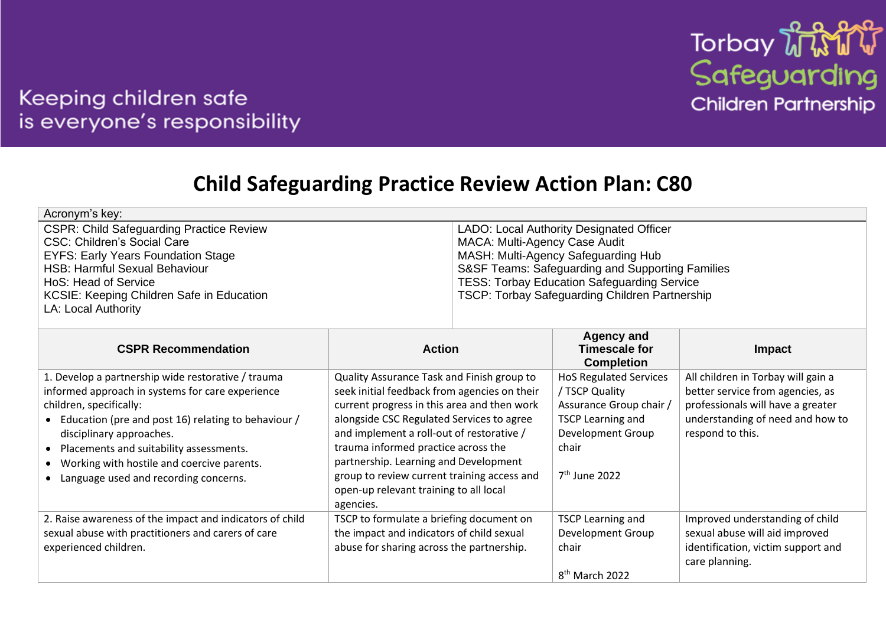

## Keeping children safe is everyone's responsibility

## **Child Safeguarding Practice Review Action Plan: C80**

| Acronym's key:                                  |                                                    |
|-------------------------------------------------|----------------------------------------------------|
| <b>CSPR: Child Safeguarding Practice Review</b> | LADO: Local Authority Designated Officer           |
| <b>CSC: Children's Social Care</b>              | MACA: Multi-Agency Case Audit                      |
| <b>EYFS: Early Years Foundation Stage</b>       | MASH: Multi-Agency Safeguarding Hub                |
| <b>HSB: Harmful Sexual Behaviour</b>            | S&SF Teams: Safeguarding and Supporting Families   |
| HoS: Head of Service                            | <b>TESS: Torbay Education Safeguarding Service</b> |
| KCSIE: Keeping Children Safe in Education       | TSCP: Torbay Safeguarding Children Partnership     |
| LA: Local Authority                             |                                                    |

| <b>CSPR Recommendation</b>                                                                                                                                                                                                                                                                                                                                     | <b>Action</b>                                                                                                                                                                                                                                                                                                                                                                                                             | <b>Agency and</b><br><b>Timescale for</b><br><b>Completion</b>                                                                                                  | Impact                                                                                                                                                              |
|----------------------------------------------------------------------------------------------------------------------------------------------------------------------------------------------------------------------------------------------------------------------------------------------------------------------------------------------------------------|---------------------------------------------------------------------------------------------------------------------------------------------------------------------------------------------------------------------------------------------------------------------------------------------------------------------------------------------------------------------------------------------------------------------------|-----------------------------------------------------------------------------------------------------------------------------------------------------------------|---------------------------------------------------------------------------------------------------------------------------------------------------------------------|
| 1. Develop a partnership wide restorative / trauma<br>informed approach in systems for care experience<br>children, specifically:<br>• Education (pre and post 16) relating to behaviour /<br>disciplinary approaches.<br>• Placements and suitability assessments.<br>• Working with hostile and coercive parents.<br>• Language used and recording concerns. | Quality Assurance Task and Finish group to<br>seek initial feedback from agencies on their<br>current progress in this area and then work<br>alongside CSC Regulated Services to agree<br>and implement a roll-out of restorative /<br>trauma informed practice across the<br>partnership. Learning and Development<br>group to review current training access and<br>open-up relevant training to all local<br>agencies. | <b>HoS Regulated Services</b><br>/ TSCP Quality<br>Assurance Group chair<br><b>TSCP Learning and</b><br>Development Group<br>chair<br>7 <sup>th</sup> June 2022 | All children in Torbay will gain a<br>better service from agencies, as<br>professionals will have a greater<br>understanding of need and how to<br>respond to this. |
| 2. Raise awareness of the impact and indicators of child<br>sexual abuse with practitioners and carers of care<br>experienced children.                                                                                                                                                                                                                        | TSCP to formulate a briefing document on<br>the impact and indicators of child sexual<br>abuse for sharing across the partnership.                                                                                                                                                                                                                                                                                        | <b>TSCP Learning and</b><br>Development Group<br>chair<br>8 <sup>th</sup> March 2022                                                                            | Improved understanding of child<br>sexual abuse will aid improved<br>identification, victim support and<br>care planning.                                           |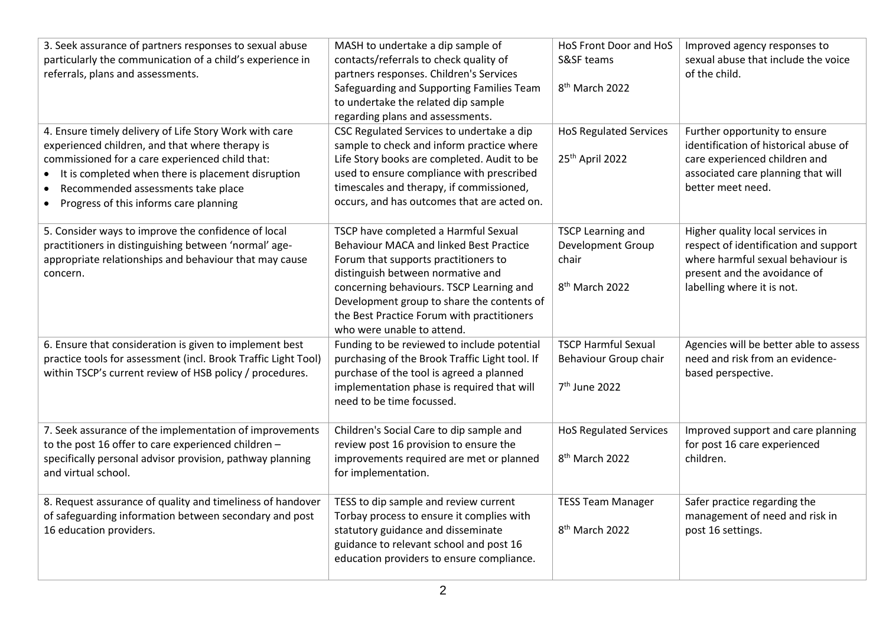| 3. Seek assurance of partners responses to sexual abuse        | MASH to undertake a dip sample of                                             | HoS Front Door and HoS        | Improved agency responses to           |
|----------------------------------------------------------------|-------------------------------------------------------------------------------|-------------------------------|----------------------------------------|
| particularly the communication of a child's experience in      | contacts/referrals to check quality of                                        | S&SF teams                    | sexual abuse that include the voice    |
| referrals, plans and assessments.                              | partners responses. Children's Services                                       |                               | of the child.                          |
|                                                                | Safeguarding and Supporting Families Team                                     | 8 <sup>th</sup> March 2022    |                                        |
|                                                                | to undertake the related dip sample                                           |                               |                                        |
|                                                                | regarding plans and assessments.                                              |                               |                                        |
| 4. Ensure timely delivery of Life Story Work with care         | CSC Regulated Services to undertake a dip                                     | <b>HoS Regulated Services</b> | Further opportunity to ensure          |
| experienced children, and that where therapy is                | sample to check and inform practice where                                     |                               | identification of historical abuse of  |
| commissioned for a care experienced child that:                | Life Story books are completed. Audit to be                                   | 25 <sup>th</sup> April 2022   | care experienced children and          |
| It is completed when there is placement disruption             | used to ensure compliance with prescribed                                     |                               | associated care planning that will     |
| Recommended assessments take place<br>$\bullet$                | timescales and therapy, if commissioned,                                      |                               | better meet need.                      |
| Progress of this informs care planning<br>$\bullet$            | occurs, and has outcomes that are acted on.                                   |                               |                                        |
|                                                                |                                                                               |                               |                                        |
| 5. Consider ways to improve the confidence of local            | TSCP have completed a Harmful Sexual                                          | <b>TSCP Learning and</b>      | Higher quality local services in       |
| practitioners in distinguishing between 'normal' age-          | Behaviour MACA and linked Best Practice                                       | Development Group             | respect of identification and support  |
| appropriate relationships and behaviour that may cause         | Forum that supports practitioners to                                          | chair                         | where harmful sexual behaviour is      |
| concern.                                                       | distinguish between normative and<br>concerning behaviours. TSCP Learning and | 8 <sup>th</sup> March 2022    | present and the avoidance of           |
|                                                                | Development group to share the contents of                                    |                               | labelling where it is not.             |
|                                                                | the Best Practice Forum with practitioners                                    |                               |                                        |
|                                                                | who were unable to attend.                                                    |                               |                                        |
| 6. Ensure that consideration is given to implement best        | Funding to be reviewed to include potential                                   | <b>TSCP Harmful Sexual</b>    | Agencies will be better able to assess |
| practice tools for assessment (incl. Brook Traffic Light Tool) | purchasing of the Brook Traffic Light tool. If                                | Behaviour Group chair         | need and risk from an evidence-        |
| within TSCP's current review of HSB policy / procedures.       | purchase of the tool is agreed a planned                                      |                               | based perspective.                     |
|                                                                | implementation phase is required that will                                    | 7 <sup>th</sup> June 2022     |                                        |
|                                                                | need to be time focussed.                                                     |                               |                                        |
|                                                                |                                                                               |                               |                                        |
| 7. Seek assurance of the implementation of improvements        | Children's Social Care to dip sample and                                      | <b>HoS Regulated Services</b> | Improved support and care planning     |
| to the post 16 offer to care experienced children -            | review post 16 provision to ensure the                                        |                               | for post 16 care experienced           |
| specifically personal advisor provision, pathway planning      | improvements required are met or planned                                      | 8 <sup>th</sup> March 2022    | children.                              |
| and virtual school.                                            | for implementation.                                                           |                               |                                        |
|                                                                |                                                                               |                               |                                        |
| 8. Request assurance of quality and timeliness of handover     | TESS to dip sample and review current                                         | <b>TESS Team Manager</b>      | Safer practice regarding the           |
| of safeguarding information between secondary and post         | Torbay process to ensure it complies with                                     |                               | management of need and risk in         |
| 16 education providers.                                        | statutory guidance and disseminate                                            | 8 <sup>th</sup> March 2022    | post 16 settings.                      |
|                                                                | guidance to relevant school and post 16                                       |                               |                                        |
|                                                                | education providers to ensure compliance.                                     |                               |                                        |
|                                                                |                                                                               |                               |                                        |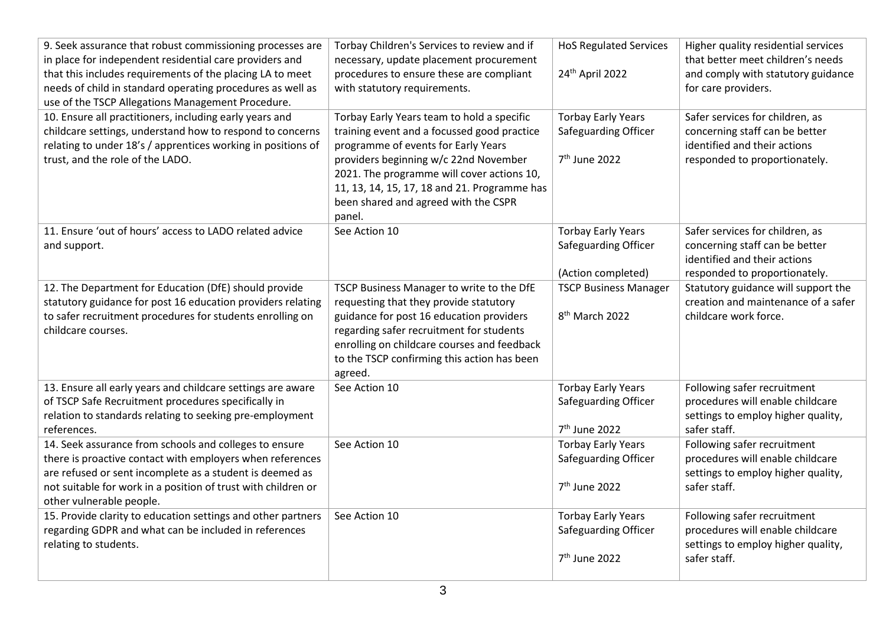| 9. Seek assurance that robust commissioning processes are<br>in place for independent residential care providers and<br>that this includes requirements of the placing LA to meet<br>needs of child in standard operating procedures as well as<br>use of the TSCP Allegations Management Procedure. | Torbay Children's Services to review and if<br>necessary, update placement procurement<br>procedures to ensure these are compliant<br>with statutory requirements.                                                                                                                                                        | <b>HoS Regulated Services</b><br>24th April 2022                               | Higher quality residential services<br>that better meet children's needs<br>and comply with statutory guidance<br>for care providers. |
|------------------------------------------------------------------------------------------------------------------------------------------------------------------------------------------------------------------------------------------------------------------------------------------------------|---------------------------------------------------------------------------------------------------------------------------------------------------------------------------------------------------------------------------------------------------------------------------------------------------------------------------|--------------------------------------------------------------------------------|---------------------------------------------------------------------------------------------------------------------------------------|
| 10. Ensure all practitioners, including early years and<br>childcare settings, understand how to respond to concerns<br>relating to under 18's / apprentices working in positions of<br>trust, and the role of the LADO.                                                                             | Torbay Early Years team to hold a specific<br>training event and a focussed good practice<br>programme of events for Early Years<br>providers beginning w/c 22nd November<br>2021. The programme will cover actions 10,<br>11, 13, 14, 15, 17, 18 and 21. Programme has<br>been shared and agreed with the CSPR<br>panel. | <b>Torbay Early Years</b><br>Safeguarding Officer<br>7 <sup>th</sup> June 2022 | Safer services for children, as<br>concerning staff can be better<br>identified and their actions<br>responded to proportionately.    |
| 11. Ensure 'out of hours' access to LADO related advice<br>and support.                                                                                                                                                                                                                              | See Action 10                                                                                                                                                                                                                                                                                                             | <b>Torbay Early Years</b><br>Safeguarding Officer<br>(Action completed)        | Safer services for children, as<br>concerning staff can be better<br>identified and their actions<br>responded to proportionately.    |
| 12. The Department for Education (DfE) should provide<br>statutory guidance for post 16 education providers relating<br>to safer recruitment procedures for students enrolling on<br>childcare courses.                                                                                              | TSCP Business Manager to write to the DfE<br>requesting that they provide statutory<br>guidance for post 16 education providers<br>regarding safer recruitment for students<br>enrolling on childcare courses and feedback<br>to the TSCP confirming this action has been<br>agreed.                                      | <b>TSCP Business Manager</b><br>8 <sup>th</sup> March 2022                     | Statutory guidance will support the<br>creation and maintenance of a safer<br>childcare work force.                                   |
| 13. Ensure all early years and childcare settings are aware<br>of TSCP Safe Recruitment procedures specifically in<br>relation to standards relating to seeking pre-employment<br>references.                                                                                                        | See Action 10                                                                                                                                                                                                                                                                                                             | <b>Torbay Early Years</b><br>Safeguarding Officer<br>7 <sup>th</sup> June 2022 | Following safer recruitment<br>procedures will enable childcare<br>settings to employ higher quality,<br>safer staff.                 |
| 14. Seek assurance from schools and colleges to ensure<br>there is proactive contact with employers when references<br>are refused or sent incomplete as a student is deemed as<br>not suitable for work in a position of trust with children or<br>other vulnerable people.                         | See Action 10                                                                                                                                                                                                                                                                                                             | <b>Torbay Early Years</b><br>Safeguarding Officer<br>7 <sup>th</sup> June 2022 | Following safer recruitment<br>procedures will enable childcare<br>settings to employ higher quality,<br>safer staff.                 |
| 15. Provide clarity to education settings and other partners<br>regarding GDPR and what can be included in references<br>relating to students.                                                                                                                                                       | See Action 10                                                                                                                                                                                                                                                                                                             | <b>Torbay Early Years</b><br>Safeguarding Officer<br>7 <sup>th</sup> June 2022 | Following safer recruitment<br>procedures will enable childcare<br>settings to employ higher quality,<br>safer staff.                 |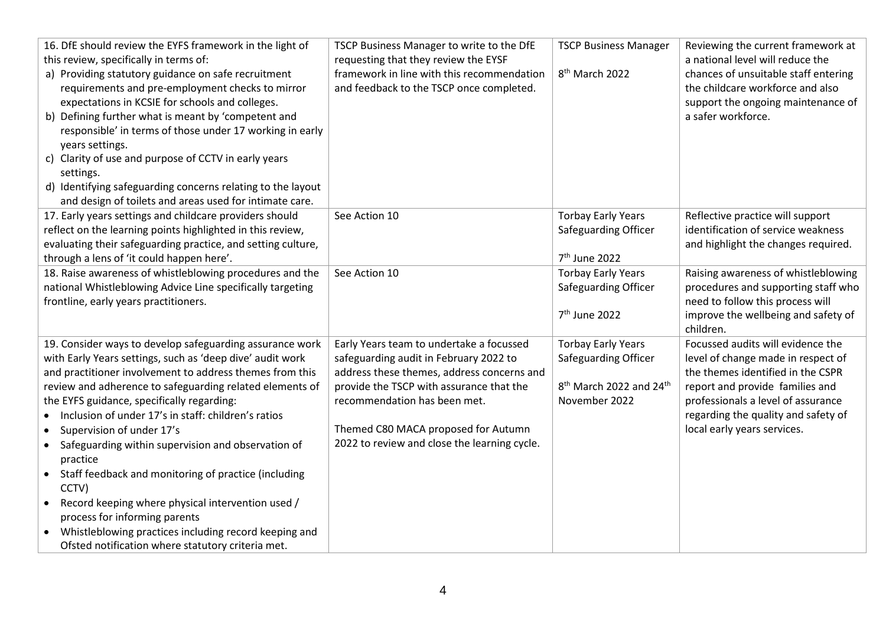| 16. DfE should review the EYFS framework in the light of<br>this review, specifically in terms of:<br>a) Providing statutory guidance on safe recruitment<br>requirements and pre-employment checks to mirror<br>expectations in KCSIE for schools and colleges.<br>b) Defining further what is meant by 'competent and<br>responsible' in terms of those under 17 working in early<br>years settings.<br>c) Clarity of use and purpose of CCTV in early years<br>settings.<br>d) Identifying safeguarding concerns relating to the layout<br>and design of toilets and areas used for intimate care. | TSCP Business Manager to write to the DfE<br>requesting that they review the EYSF<br>framework in line with this recommendation<br>and feedback to the TSCP once completed. | <b>TSCP Business Manager</b><br>8 <sup>th</sup> March 2022 | Reviewing the current framework at<br>a national level will reduce the<br>chances of unsuitable staff entering<br>the childcare workforce and also<br>support the ongoing maintenance of<br>a safer workforce. |
|-------------------------------------------------------------------------------------------------------------------------------------------------------------------------------------------------------------------------------------------------------------------------------------------------------------------------------------------------------------------------------------------------------------------------------------------------------------------------------------------------------------------------------------------------------------------------------------------------------|-----------------------------------------------------------------------------------------------------------------------------------------------------------------------------|------------------------------------------------------------|----------------------------------------------------------------------------------------------------------------------------------------------------------------------------------------------------------------|
| 17. Early years settings and childcare providers should                                                                                                                                                                                                                                                                                                                                                                                                                                                                                                                                               | See Action 10                                                                                                                                                               | <b>Torbay Early Years</b>                                  | Reflective practice will support                                                                                                                                                                               |
| reflect on the learning points highlighted in this review,                                                                                                                                                                                                                                                                                                                                                                                                                                                                                                                                            |                                                                                                                                                                             | Safeguarding Officer                                       | identification of service weakness                                                                                                                                                                             |
| evaluating their safeguarding practice, and setting culture,                                                                                                                                                                                                                                                                                                                                                                                                                                                                                                                                          |                                                                                                                                                                             |                                                            | and highlight the changes required.                                                                                                                                                                            |
| through a lens of 'it could happen here'.                                                                                                                                                                                                                                                                                                                                                                                                                                                                                                                                                             |                                                                                                                                                                             | 7 <sup>th</sup> June 2022                                  |                                                                                                                                                                                                                |
| 18. Raise awareness of whistleblowing procedures and the                                                                                                                                                                                                                                                                                                                                                                                                                                                                                                                                              | See Action 10                                                                                                                                                               | <b>Torbay Early Years</b>                                  | Raising awareness of whistleblowing                                                                                                                                                                            |
| national Whistleblowing Advice Line specifically targeting                                                                                                                                                                                                                                                                                                                                                                                                                                                                                                                                            |                                                                                                                                                                             | Safeguarding Officer                                       | procedures and supporting staff who                                                                                                                                                                            |
| frontline, early years practitioners.                                                                                                                                                                                                                                                                                                                                                                                                                                                                                                                                                                 |                                                                                                                                                                             | 7 <sup>th</sup> June 2022                                  | need to follow this process will<br>improve the wellbeing and safety of                                                                                                                                        |
|                                                                                                                                                                                                                                                                                                                                                                                                                                                                                                                                                                                                       |                                                                                                                                                                             |                                                            | children.                                                                                                                                                                                                      |
| 19. Consider ways to develop safeguarding assurance work                                                                                                                                                                                                                                                                                                                                                                                                                                                                                                                                              | Early Years team to undertake a focussed                                                                                                                                    | <b>Torbay Early Years</b>                                  | Focussed audits will evidence the                                                                                                                                                                              |
| with Early Years settings, such as 'deep dive' audit work                                                                                                                                                                                                                                                                                                                                                                                                                                                                                                                                             | safeguarding audit in February 2022 to                                                                                                                                      | Safeguarding Officer                                       | level of change made in respect of                                                                                                                                                                             |
| and practitioner involvement to address themes from this                                                                                                                                                                                                                                                                                                                                                                                                                                                                                                                                              | address these themes, address concerns and                                                                                                                                  |                                                            | the themes identified in the CSPR                                                                                                                                                                              |
| review and adherence to safeguarding related elements of                                                                                                                                                                                                                                                                                                                                                                                                                                                                                                                                              | provide the TSCP with assurance that the                                                                                                                                    | 8 <sup>th</sup> March 2022 and 24 <sup>th</sup>            | report and provide families and                                                                                                                                                                                |
| the EYFS guidance, specifically regarding:                                                                                                                                                                                                                                                                                                                                                                                                                                                                                                                                                            | recommendation has been met.                                                                                                                                                | November 2022                                              | professionals a level of assurance                                                                                                                                                                             |
| Inclusion of under 17's in staff: children's ratios                                                                                                                                                                                                                                                                                                                                                                                                                                                                                                                                                   |                                                                                                                                                                             |                                                            | regarding the quality and safety of                                                                                                                                                                            |
| Supervision of under 17's                                                                                                                                                                                                                                                                                                                                                                                                                                                                                                                                                                             | Themed C80 MACA proposed for Autumn                                                                                                                                         |                                                            | local early years services.                                                                                                                                                                                    |
| Safeguarding within supervision and observation of                                                                                                                                                                                                                                                                                                                                                                                                                                                                                                                                                    | 2022 to review and close the learning cycle.                                                                                                                                |                                                            |                                                                                                                                                                                                                |
| practice                                                                                                                                                                                                                                                                                                                                                                                                                                                                                                                                                                                              |                                                                                                                                                                             |                                                            |                                                                                                                                                                                                                |
| Staff feedback and monitoring of practice (including<br>$\bullet$                                                                                                                                                                                                                                                                                                                                                                                                                                                                                                                                     |                                                                                                                                                                             |                                                            |                                                                                                                                                                                                                |
| CCTV)                                                                                                                                                                                                                                                                                                                                                                                                                                                                                                                                                                                                 |                                                                                                                                                                             |                                                            |                                                                                                                                                                                                                |
| Record keeping where physical intervention used /                                                                                                                                                                                                                                                                                                                                                                                                                                                                                                                                                     |                                                                                                                                                                             |                                                            |                                                                                                                                                                                                                |
| process for informing parents                                                                                                                                                                                                                                                                                                                                                                                                                                                                                                                                                                         |                                                                                                                                                                             |                                                            |                                                                                                                                                                                                                |
| Whistleblowing practices including record keeping and                                                                                                                                                                                                                                                                                                                                                                                                                                                                                                                                                 |                                                                                                                                                                             |                                                            |                                                                                                                                                                                                                |
| Ofsted notification where statutory criteria met.                                                                                                                                                                                                                                                                                                                                                                                                                                                                                                                                                     |                                                                                                                                                                             |                                                            |                                                                                                                                                                                                                |